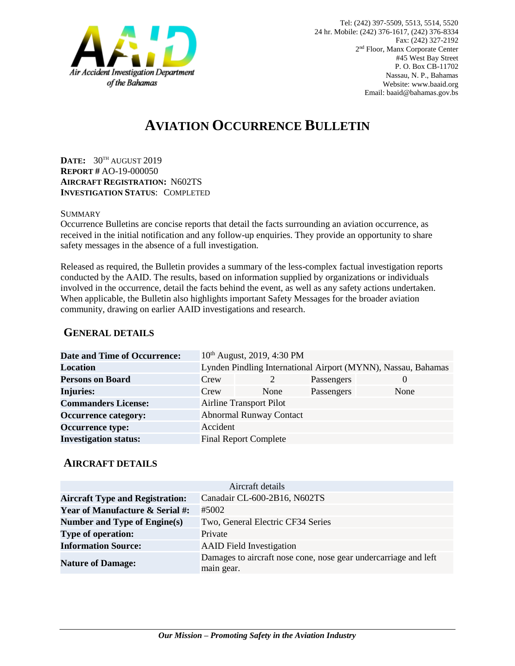

# **AVIATION OCCURRENCE BULLETIN**

**DATE:** 30TH AUGUST 2019 **REPORT #** AO-19-000050 **AIRCRAFT REGISTRATION:** N602TS **INVESTIGATION STATUS**: COMPLETED

#### **SUMMARY**

Occurrence Bulletins are concise reports that detail the facts surrounding an aviation occurrence, as received in the initial notification and any follow-up enquiries. They provide an opportunity to share safety messages in the absence of a full investigation*.*

Released as required, the Bulletin provides a summary of the less-complex factual investigation reports conducted by the AAID. The results, based on information supplied by organizations or individuals involved in the occurrence, detail the facts behind the event, as well as any safety actions undertaken. When applicable, the Bulletin also highlights important Safety Messages for the broader aviation community, drawing on earlier AAID investigations and research.

### **GENERAL DETAILS**

| <b>Date and Time of Occurrence:</b> |                                                               | 10 <sup>th</sup> August, 2019, 4:30 PM |            |          |
|-------------------------------------|---------------------------------------------------------------|----------------------------------------|------------|----------|
| <b>Location</b>                     | Lynden Pindling International Airport (MYNN), Nassau, Bahamas |                                        |            |          |
| <b>Persons on Board</b>             | Crew                                                          |                                        | Passengers | $\theta$ |
| <b>Injuries:</b>                    | Crew                                                          | None                                   | Passengers | None     |
| <b>Commanders License:</b>          | <b>Airline Transport Pilot</b>                                |                                        |            |          |
| <b>Occurrence category:</b>         |                                                               | <b>Abnormal Runway Contact</b>         |            |          |
| <b>Occurrence type:</b>             | Accident                                                      |                                        |            |          |
| <b>Investigation status:</b>        |                                                               | <b>Final Report Complete</b>           |            |          |

#### **AIRCRAFT DETAILS**

| Aircraft details                           |                                                                               |  |  |  |
|--------------------------------------------|-------------------------------------------------------------------------------|--|--|--|
| <b>Aircraft Type and Registration:</b>     | Canadair CL-600-2B16, N602TS                                                  |  |  |  |
| <b>Year of Manufacture &amp; Serial #:</b> | #5002                                                                         |  |  |  |
| Number and Type of Engine(s)               | Two, General Electric CF34 Series                                             |  |  |  |
| <b>Type of operation:</b>                  | Private                                                                       |  |  |  |
| <b>Information Source:</b>                 | <b>AAID</b> Field Investigation                                               |  |  |  |
| <b>Nature of Damage:</b>                   | Damages to aircraft nose cone, nose gear undercarriage and left<br>main gear. |  |  |  |